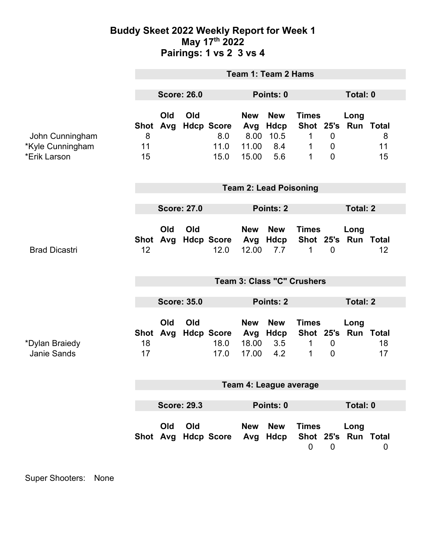## **Buddy Skeet 2022 Weekly Report for Week 1 May 17th 2022 Pairings: 1 vs 2 3 vs 4**

|                                                     | <b>Team 1: Team 2 Hams</b>        |            |     |                                          |                                             |                                          |                                          |                                              |                             |                |  |
|-----------------------------------------------------|-----------------------------------|------------|-----|------------------------------------------|---------------------------------------------|------------------------------------------|------------------------------------------|----------------------------------------------|-----------------------------|----------------|--|
|                                                     | <b>Score: 26.0</b>                |            |     | Points: 0                                |                                             |                                          |                                          | Total: 0                                     |                             |                |  |
| John Cunningham<br>*Kyle Cunningham<br>*Erik Larson | <b>Shot</b><br>8<br>11<br>15      | Old<br>Avg | Old | <b>Hdcp Score</b><br>8.0<br>11.0<br>15.0 | <b>New</b><br>Avg<br>8.00<br>11.00<br>15.00 | <b>New</b><br>Hdcp<br>10.5<br>8.4<br>5.6 | <b>Times</b><br>1<br>1<br>1              | $\mathbf 0$<br>$\mathbf 0$<br>$\overline{0}$ | Long<br>Shot 25's Run Total | 8<br>11<br>15  |  |
|                                                     | <b>Team 2: Lead Poisoning</b>     |            |     |                                          |                                             |                                          |                                          |                                              |                             |                |  |
|                                                     | <b>Score: 27.0</b>                |            |     |                                          | Points: 2                                   |                                          |                                          |                                              | <b>Total: 2</b>             |                |  |
| <b>Brad Dicastri</b>                                | 12                                | Old        | Old | Shot Avg Hdcp Score Avg Hdcp<br>12.0     | <b>New</b><br>12.00                         | <b>New</b><br>7.7                        | <b>Times</b><br>Shot 25's Run Total<br>1 | $\overline{0}$                               | Long                        | 12             |  |
|                                                     | <b>Team 3: Class "C" Crushers</b> |            |     |                                          |                                             |                                          |                                          |                                              |                             |                |  |
|                                                     | <b>Score: 35.0</b>                |            |     |                                          | Points: 2                                   |                                          |                                          | <b>Total: 2</b>                              |                             |                |  |
| *Dylan Braiedy<br><b>Janie Sands</b>                | <b>Shot</b><br>18<br>17           | Old        | Old | Avg Hdcp Score<br>18.0<br>17.0           | <b>New</b><br>Avg<br>18.00<br>17.00         | <b>New</b><br>Hdcp<br>3.5<br>4.2         | <b>Times</b><br>$\mathbf{1}$<br>1        | $\mathbf 0$<br>$\overline{0}$                | Long<br>Shot 25's Run Total | 18<br>17       |  |
|                                                     | Team 4: League average            |            |     |                                          |                                             |                                          |                                          |                                              |                             |                |  |
|                                                     | <b>Score: 29.3</b>                |            |     | Points: 0                                |                                             |                                          | <b>Total: 0</b>                          |                                              |                             |                |  |
|                                                     |                                   | Old        | Old | Shot Avg Hdcp Score                      | <b>New</b><br>Avg                           | <b>New</b><br>Hdcp                       | <b>Times</b><br>$\mathbf 0$              | $\mathbf 0$                                  | Long<br>Shot 25's Run Total | $\overline{0}$ |  |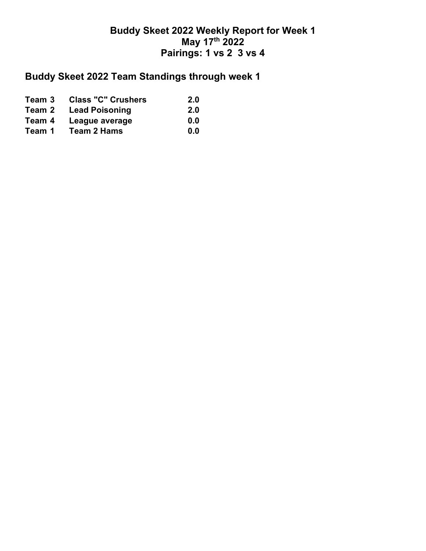## **Buddy Skeet 2022 Weekly Report for Week 1 May 17th 2022 Pairings: 1 vs 2 3 vs 4**

## **Buddy Skeet 2022 Team Standings through week 1**

| Team 3 | <b>Class "C" Crushers</b> | <b>2.0</b> |
|--------|---------------------------|------------|
| Team 2 | <b>Lead Poisoning</b>     | <b>2.0</b> |
| Team 4 | League average            | 0.0        |
| Team 1 | Team 2 Hams               | 0.0        |